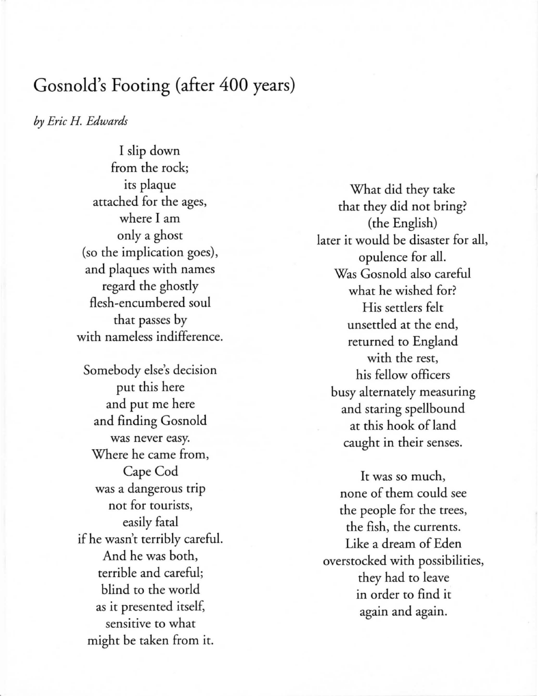## Gosnold's Footing (after 400 years)

*by Eric* H. *Edwards* 

I slip down from the rock; its plaque attached for the ages, where I am only a ghost (so the implication goes), and plaques with names regard the ghostly flesh-encumbered soul that passes by with nameless indifference.

Somebody else's decision put this here and put me here and finding Gosnold was never easy. Where he came from, Cape Cod was a dangerous trip not for tourists, easily fatal if he wasn't terribly careful. And he was both, terrible and careful; blind to the world as it presented itself, sensitive to what might be taken from it.

What did they take that they did not bring? (the English) later it would be disaster for all, opulence for all. Was Gosnold also careful what he wished for? His settlers felt unsettled at the end, returned to England with the rest, his fellow officers busy alternately measuring and staring spellbound at this hook of land caught in their senses.

It was so much, none of them could see the people for the trees, the fish, the currents. Like a dream of Eden overstocked with possibilities, they had to leave in order to find it again and again.